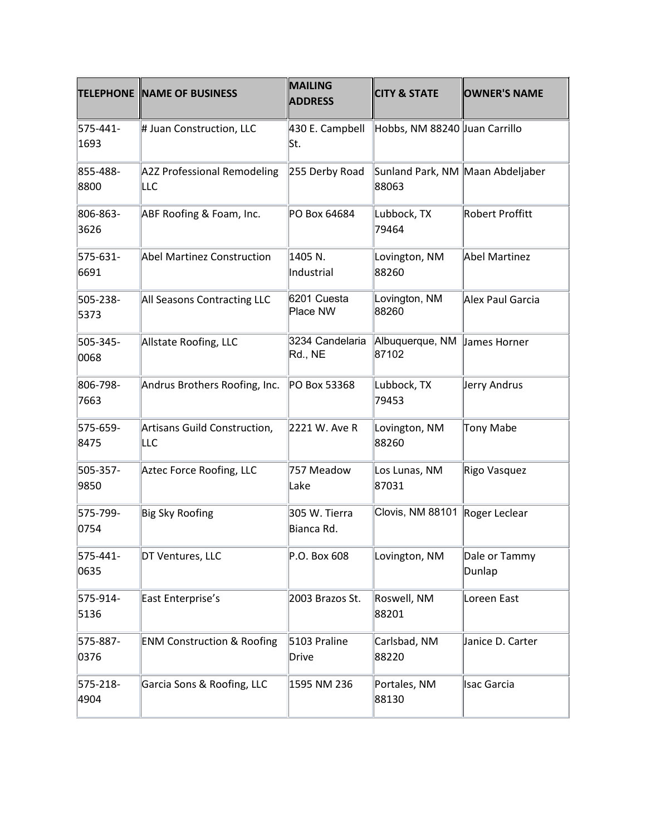|                  | <b>TELEPHONE NAME OF BUSINESS</b>     | <b>MAILING</b><br><b>ADDRESS</b> | <b>CITY &amp; STATE</b>                   | <b>OWNER'S NAME</b>     |
|------------------|---------------------------------------|----------------------------------|-------------------------------------------|-------------------------|
| 575-441-<br>1693 | # Juan Construction, LLC              | 430 E. Campbell<br>lSt.          | Hobbs, NM 88240 Juan Carrillo             |                         |
| 855-488-<br>8800 | A2Z Professional Remodeling<br>LLC    | 255 Derby Road                   | Sunland Park, NM Maan Abdeljaber<br>88063 |                         |
| 806-863-<br>3626 | ABF Roofing & Foam, Inc.              | PO Box 64684                     | Lubbock, TX<br>79464                      | Robert Proffitt         |
| 575-631-<br>6691 | Abel Martinez Construction            | 1405 N.<br>Industrial            | Lovington, NM<br>88260                    | Abel Martinez           |
| 505-238-<br>5373 | All Seasons Contracting LLC           | 6201 Cuesta<br>Place NW          | Lovington, NM<br>88260                    | Alex Paul Garcia        |
| 505-345-<br>0068 | Allstate Roofing, LLC                 | 3234 Candelaria<br>Rd., NE       | Albuquerque, NM<br>87102                  | James Horner            |
| 806-798-<br>7663 | Andrus Brothers Roofing, Inc.         | PO Box 53368                     | Lubbock, TX<br>79453                      | Jerry Andrus            |
| 575-659-<br>8475 | Artisans Guild Construction,<br>LLC   | 2221 W. Ave R                    | Lovington, NM<br>88260                    | <b>Tony Mabe</b>        |
| 505-357-<br>9850 | Aztec Force Roofing, LLC              | 757 Meadow<br>Lake               | Los Lunas, NM<br>87031                    | Rigo Vasquez            |
| 575-799-<br>0754 | <b>Big Sky Roofing</b>                | 305 W. Tierra<br>Bianca Rd.      | Clovis, NM 88101 Roger Leclear            |                         |
| 575-441-<br>0635 | DT Ventures, LLC                      | P.O. Box 608                     | Lovington, NM                             | Dale or Tammy<br>Dunlap |
| 575-914-<br>5136 | East Enterprise's                     | 2003 Brazos St.                  | Roswell, NM<br>88201                      | Loreen East             |
| 575-887-<br>0376 | <b>ENM Construction &amp; Roofing</b> | 5103 Praline<br>Drive            | Carlsbad, NM<br>88220                     | Janice D. Carter        |
| 575-218-<br>4904 | Garcia Sons & Roofing, LLC            | 1595 NM 236                      | Portales, NM<br>88130                     | Isac Garcia             |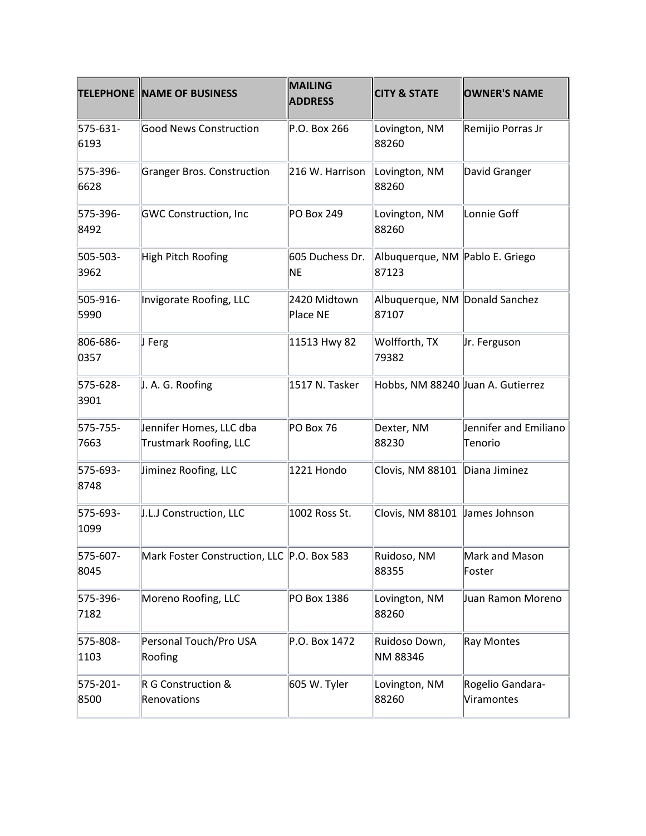|                  | <b>TELEPHONE NAME OF BUSINESS</b>                        | <b>MAILING</b><br><b>ADDRESS</b> | <b>CITY &amp; STATE</b>                  | <b>OWNER'S NAME</b>              |
|------------------|----------------------------------------------------------|----------------------------------|------------------------------------------|----------------------------------|
| 575-631-<br>6193 | <b>Good News Construction</b>                            | P.O. Box 266                     | Lovington, NM<br>88260                   | Remijio Porras Jr                |
| 575-396-<br>6628 | <b>Granger Bros. Construction</b>                        | 216 W. Harrison                  | Lovington, NM<br>88260                   | David Granger                    |
| 575-396-<br>8492 | <b>GWC Construction, Inc</b>                             | PO Box 249                       | Lovington, NM<br>88260                   | Lonnie Goff                      |
| 505-503-<br>3962 | High Pitch Roofing                                       | 605 Duchess Dr.<br>NE            | Albuquerque, NM Pablo E. Griego<br>87123 |                                  |
| 505-916-<br>5990 | Invigorate Roofing, LLC                                  | 2420 Midtown<br>Place NE         | Albuquerque, NM Donald Sanchez<br>87107  |                                  |
| 806-686-<br>0357 | $ J$ Ferg                                                | 11513 Hwy 82                     | Wolfforth, TX<br>79382                   | Jr. Ferguson                     |
| 575-628-<br>3901 | J. A. G. Roofing                                         | 1517 N. Tasker                   | Hobbs, NM 88240 Juan A. Gutierrez        |                                  |
| 575-755-<br>7663 | Jennifer Homes, LLC dba<br><b>Trustmark Roofing, LLC</b> | PO Box 76                        | Dexter, NM<br>88230                      | Jennifer and Emiliano<br>Tenorio |
| 575-693-<br>8748 | Jiminez Roofing, LLC                                     | 1221 Hondo                       | Clovis, NM 88101                         | Diana Jiminez                    |
| 575-693-<br>1099 | J.L.J Construction, LLC                                  | 1002 Ross St.                    | Clovis, NM 88101 James Johnson           |                                  |
| 575-607-<br>8045 | Mark Foster Construction, LLC P.O. Box 583               |                                  | Ruidoso, NM<br>88355                     | Mark and Mason<br>Foster         |
| 575-396-<br>7182 | Moreno Roofing, LLC                                      | PO Box 1386                      | Lovington, NM<br>88260                   | Juan Ramon Moreno                |
| 575-808-<br>1103 | Personal Touch/Pro USA<br>Roofing                        | P.O. Box 1472                    | Ruidoso Down,<br>NM 88346                | <b>Ray Montes</b>                |
| 575-201-<br>8500 | R G Construction &<br>Renovations                        | 605 W. Tyler                     | Lovington, NM<br>88260                   | Rogelio Gandara-<br>Viramontes   |